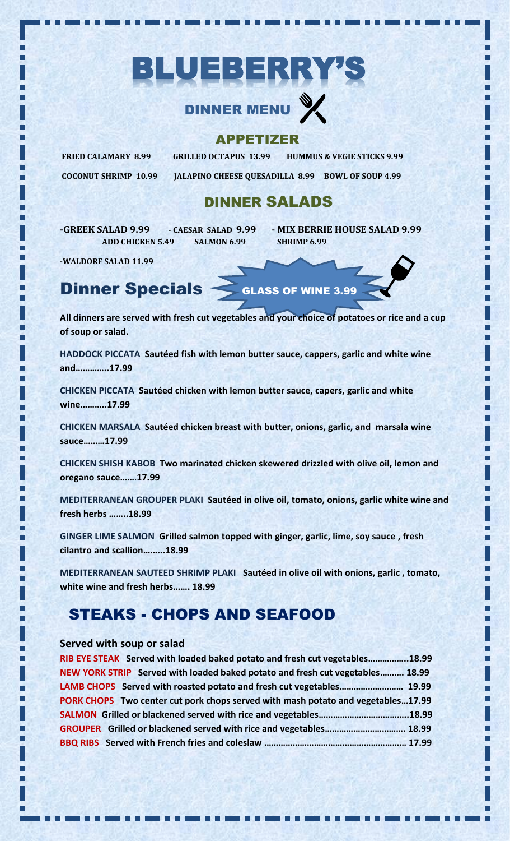# BLUEBERRY'S

## **DINNER MENU**

#### APPETIZER

**COCONUT SHRIMP 10.99 JALAPINO CHEESE QUESADILLA 8.99 BOWL OF SOUP 4.99**

**FRIED CALAMARY 8.99 GRILLED OCTAPUS 13.99 HUMMUS & VEGIE STICKS 9.99** 

### DINNER SALADS

**-GREEK SALAD 9.99 - CAESAR SALAD 9.99 - MIX BERRIE HOUSE SALAD 9.99 ADD CHICKEN 5.49 SALMON 6.99 SHRIMP 6.99**

**-WALDORF SALAD 11.99**

## Dinner Specials GLASS OF WINE 3.99

**All dinners are served with fresh cut vegetables and your choice of potatoes or rice and a cup of soup or salad.**

**HADDOCK PICCATA Sautéed fish with lemon butter sauce, cappers, garlic and white wine and…………..17.99**

**CHICKEN PICCATA Sautéed chicken with lemon butter sauce, capers, garlic and white wine………..17.99**

**CHICKEN MARSALA Sautéed chicken breast with butter, onions, garlic, and marsala wine sauce………17.99**

**CHICKEN SHISH KABOB Two marinated chicken skewered drizzled with olive oil, lemon and oregano sauce……**.**17.99**

**MEDITERRANEAN GROUPER PLAKI Sautéed in olive oil, tomato, onions, garlic white wine and fresh herbs ……..18.99**

**GINGER LIME SALMON Grilled salmon topped with ginger, garlic, lime, soy sauce , fresh cilantro and scallion……...18.99**

**MEDITERRANEAN SAUTEED SHRIMP PLAKI Sautéed in olive oil with onions, garlic , tomato, white wine and fresh herbs……. 18.99**

## STEAKS - CHOPS AND SEAFOOD

#### **Served with soup or salad**

| RIB EYE STEAK Served with loaded baked potato and fresh cut vegetables18.99      |  |
|----------------------------------------------------------------------------------|--|
| NEW YORK STRIP Served with loaded baked potato and fresh cut vegetables 18.99    |  |
|                                                                                  |  |
| PORK CHOPS Two center cut pork chops served with mash potato and vegetables17.99 |  |
|                                                                                  |  |
|                                                                                  |  |
|                                                                                  |  |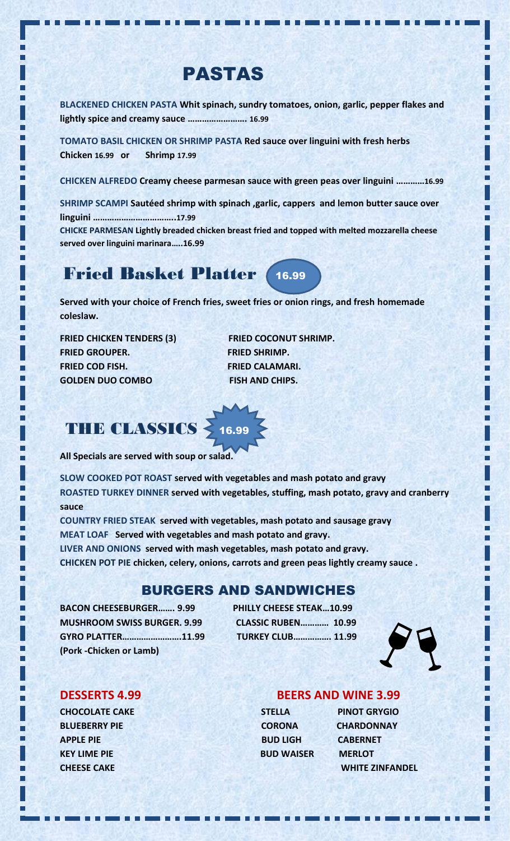## PASTAS

**BLACKENED CHICKEN PASTA Whit spinach, sundry tomatoes, onion, garlic, pepper flakes and lightly spice and creamy sauce ……………………. 16.99**

**TOMATO BASIL CHICKEN OR SHRIMP PASTA Red sauce over linguini with fresh herbs Chicken 16.99 or Shrimp 17.99**

**CHICKEN ALFREDO Creamy cheese parmesan sauce with green peas over linguini …………16.99**

**SHRIMP SCAMPI Sautéed shrimp with spinach ,garlic, cappers and lemon butter sauce over linguini ……………………………..17.99**

**CHICKE PARMESAN Lightly breaded chicken breast fried and topped with melted mozzarella cheese served over linguini marinara…..16.99**

### Fried Basket Platter16.99

**Served with your choice of French fries, sweet fries or onion rings, and fresh homemade coleslaw.**

FRIED CHICKEN TENDERS (3) FRIED COCONUT SHRIMP. **FRIED GROUPER. FRIED SHRIMP. FRIED COD FISH. FRIED CALAMARI. GOLDEN DUO COMBO FISH AND CHIPS.** 

## THE CLASSICS > 16.99

**All Specials are served with soup or salad.**

**SLOW COOKED POT ROAST served with vegetables and mash potato and gravy ROASTED TURKEY DINNER served with vegetables, stuffing, mash potato, gravy and cranberry sauce** 

**COUNTRY FRIED STEAK served with vegetables, mash potato and sausage gravy MEAT LOAF Served with vegetables and mash potato and gravy. LIVER AND ONIONS served with mash vegetables, mash potato and gravy.**

**CHICKEN POT PIE chicken, celery, onions, carrots and green peas lightly creamy sauce .**

#### BURGERS AND SANDWICHES

**BACON CHEESEBURGER……. 9.99 PHILLY CHEESE STEAK…10.99 MUSHROOM SWISS BURGER. 9.99 CLASSIC RUBEN………… 10.99 GYRO PLATTER…………………….11.99 TURKEY CLUB……………. 11.99 (Pork -Chicken or Lamb)**



п

**CHOCOLATE CAKE STELLA PINOT GRYGIO BLUEBERRY PIE CORONA CHARDONNAY APPLE PIE ARE ALL ASSESSED ASSESSED BUD LIGH CABERNET KEY LIME PIE BUD WAISER MERLOT** 

#### **DESSERTS 4.99 BEERS AND WINE 3.99**

| <b>STELLA</b>     |
|-------------------|
| <b>CORONA</b>     |
| <b>BUD LIGH</b>   |
| <b>BUD WAISER</b> |
|                   |

**CHEESE CAKE WHITE ZINFANDEL**